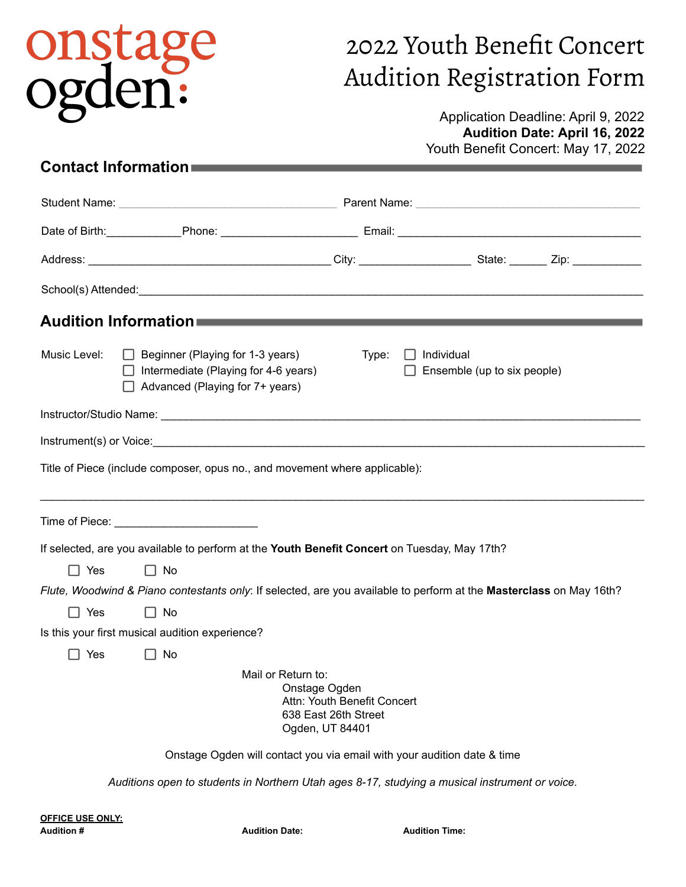# onstage<br>ogden:

## 2022 Youth Benefit Concert Audition Registration Form

#### Application Deadline: April 9, 2022 **Audition Date: April 16, 2022** Youth Benefit Concert: May 17, 2022

### **Contact Information**

| Audition Information <b>Authority Contract Contract Contract Contract Contract Contract Contract Contract Contract</b> |                                                                                                                                  |                  |                                                  |  |
|------------------------------------------------------------------------------------------------------------------------|----------------------------------------------------------------------------------------------------------------------------------|------------------|--------------------------------------------------|--|
| Music Level:                                                                                                           | $\Box$ Beginner (Playing for 1-3 years)<br>$\Box$ Intermediate (Playing for 4-6 years)<br>$\Box$ Advanced (Playing for 7+ years) | Type:<br>$\perp$ | $\Box$ Individual<br>Ensemble (up to six people) |  |
|                                                                                                                        |                                                                                                                                  |                  |                                                  |  |
|                                                                                                                        |                                                                                                                                  |                  |                                                  |  |
|                                                                                                                        | Title of Piece (include composer, opus no., and movement where applicable):                                                      |                  |                                                  |  |
|                                                                                                                        | Time of Piece: _____________________________                                                                                     |                  |                                                  |  |
| If selected, are you available to perform at the Youth Benefit Concert on Tuesday, May 17th?                           |                                                                                                                                  |                  |                                                  |  |
| $\Box$ Yes                                                                                                             | No<br>$\mathsf{L}$                                                                                                               |                  |                                                  |  |
|                                                                                                                        | Flute, Woodwind & Piano contestants only: If selected, are you available to perform at the Masterclass on May 16th?              |                  |                                                  |  |
| $\Box$ Yes                                                                                                             | $\Box$ No                                                                                                                        |                  |                                                  |  |
| Is this your first musical audition experience?                                                                        |                                                                                                                                  |                  |                                                  |  |
| $\Box$ Yes                                                                                                             | ∐ No                                                                                                                             |                  |                                                  |  |
| Mail or Return to:<br>Onstage Ogden<br>Attn: Youth Benefit Concert<br>638 East 26th Street<br>Ogden, UT 84401          |                                                                                                                                  |                  |                                                  |  |
| Onstage Ogden will contact you via email with your audition date & time                                                |                                                                                                                                  |                  |                                                  |  |
| Auditions open to students in Northern Utah ages 8-17, studying a musical instrument or voice.                         |                                                                                                                                  |                  |                                                  |  |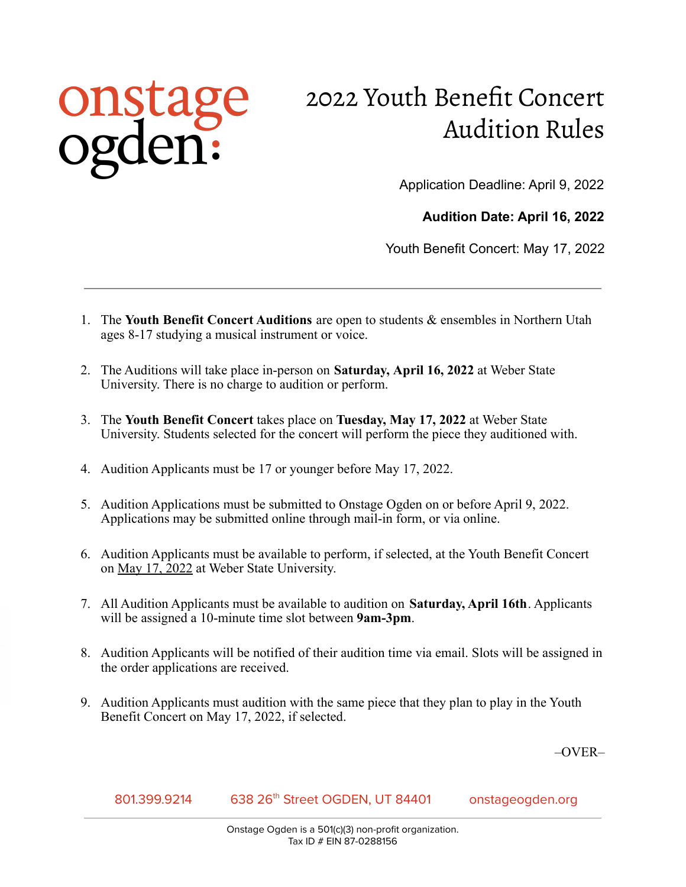## onstage<br>ogden:

## 2022 Youth Benefit Concert Audition Rules

Application Deadline: April 9, 2022

**Audition Date: April 16, 2022**

Youth Benefit Concert: May 17, 2022

- 1. The **Youth Benefit Concert Auditions** are open to students & ensembles in Northern Utah ages 8-17 studying a musical instrument or voice.
- 2. The Auditions will take place in-person on **Saturday, April 16, 2022** at Weber State University. There is no charge to audition or perform.
- 3. The **Youth Benefit Concert** takes place on **Tuesday, May 17, 2022** at Weber State University. Students selected for the concert will perform the piece they auditioned with.
- 4. Audition Applicants must be 17 or younger before May 17, 2022.
- 5. Audition Applications must be submitted to Onstage Ogden on or before April 9, 2022. Applications may be submitted online through mail-in form, or via online.
- 6. Audition Applicants must be available to perform, if selected, at the Youth Benefit Concert on May 17, 2022 at Weber State University.
- 7. All Audition Applicants must be available to audition on **Saturday, April 16th**. Applicants will be assigned a 10-minute time slot between **9am-3pm**.
- 8. Audition Applicants will be notified of their audition time via email. Slots will be assigned in the order applications are received.
- 9. Audition Applicants must audition with the same piece that they plan to play in the Youth Benefit Concert on May 17, 2022, if selected.

–OVER–

8013999214 638 26<sup>th</sup> Street OGDEN, UT 84401 onstageogden.org